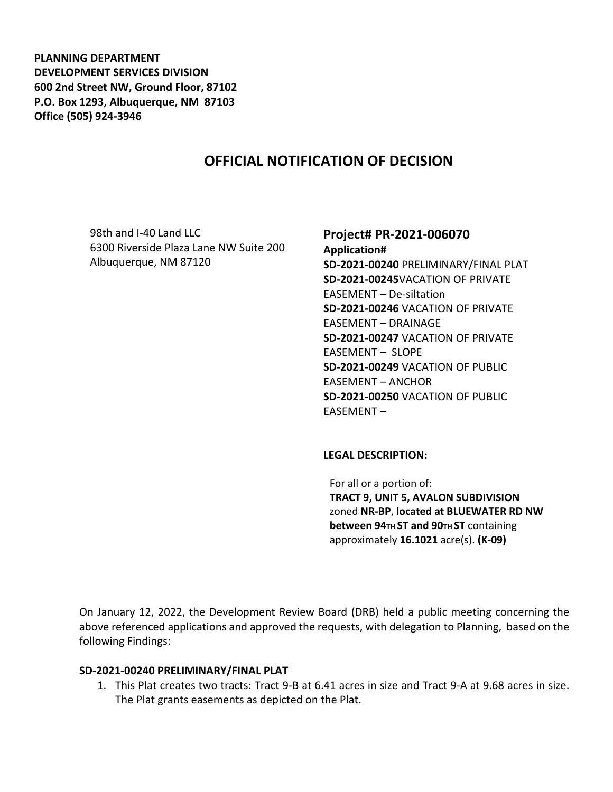**PLANNING DEPARTMENT DEVELOPMENT SERVICES DIVISION 600 2nd Street NW, Ground Floor, 87102 P.O. Box 1293, Albuquerque, NM 87103 Office (505) 924-3946** 

# **OFFICIAL NOTIFICATION OF DECISION**

98th and I-40 Land LLC 6300 Riverside Plaza Lane NW Suite 200 Albuquerque, NM 87120

### **Project# PR-2021-006070**

**Application# SD-2021-00240** PRELIMINARY/FINAL PLAT **SD-2021-00245**VACATION OF PRIVATE EASEMENT – De-siltation **SD-2021-00246** VACATION OF PRIVATE EASEMENT – DRAINAGE **SD-2021-00247** VACATION OF PRIVATE EASEMENT – SLOPE **SD-2021-00249** VACATION OF PUBLIC EASEMENT – ANCHOR **SD-2021-00250** VACATION OF PUBLIC EASEMENT –

#### **LEGAL DESCRIPTION:**

For all or a portion of: **TRACT 9, UNIT 5, AVALON SUBDIVISION**  zoned **NR-BP**, **located at BLUEWATER RD NW between 94TH ST and 90TH ST containing** approximately **16.1021** acre(s). **(K-09)** 

On January 12, 2022, the Development Review Board (DRB) held a public meeting concerning the above referenced applications and approved the requests, with delegation to Planning, based on the following Findings:

#### **SD-2021-00240 PRELIMINARY/FINAL PLAT**

1. This Plat creates two tracts: Tract 9-B at 6.41 acres in size and Tract 9-A at 9.68 acres in size. The Plat grants easements as depicted on the Plat.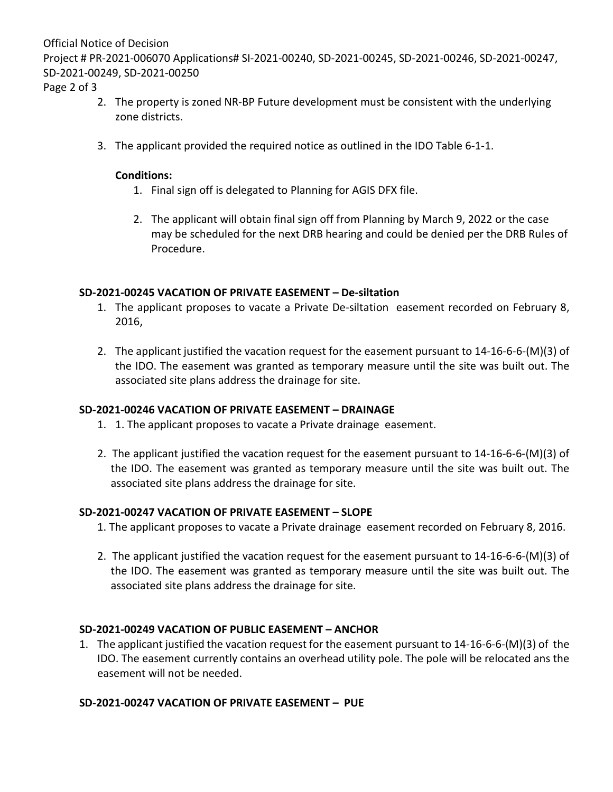Official Notice of Decision

Project # PR-2021-006070 Applications# SI-2021-00240, SD-2021-00245, SD-2021-00246, SD-2021-00247, SD-2021-00249, SD-2021-00250

Page 2 of 3

- 2. The property is zoned NR-BP Future development must be consistent with the underlying zone districts.
- 3. The applicant provided the required notice as outlined in the IDO Table 6-1-1.

### **Conditions:**

- 1. Final sign off is delegated to Planning for AGIS DFX file.
- 2. The applicant will obtain final sign off from Planning by March 9, 2022 or the case may be scheduled for the next DRB hearing and could be denied per the DRB Rules of Procedure.

## **SD-2021-00245 VACATION OF PRIVATE EASEMENT – De-siltation**

- 1. The applicant proposes to vacate a Private De-siltation easement recorded on February 8, 2016,
- 2. The applicant justified the vacation request for the easement pursuant to 14-16-6-6-(M)(3) of the IDO. The easement was granted as temporary measure until the site was built out. The associated site plans address the drainage for site.

# **SD-2021-00246 VACATION OF PRIVATE EASEMENT – DRAINAGE**

- 1. 1. The applicant proposes to vacate a Private drainage easement.
- 2. The applicant justified the vacation request for the easement pursuant to 14-16-6-6-(M)(3) of the IDO. The easement was granted as temporary measure until the site was built out. The associated site plans address the drainage for site.

### **SD-2021-00247 VACATION OF PRIVATE EASEMENT – SLOPE**

- 1. The applicant proposes to vacate a Private drainage easement recorded on February 8, 2016.
- 2. The applicant justified the vacation request for the easement pursuant to 14-16-6-6-(M)(3) of the IDO. The easement was granted as temporary measure until the site was built out. The associated site plans address the drainage for site.

# **SD-2021-00249 VACATION OF PUBLIC EASEMENT – ANCHOR**

1. The applicant justified the vacation request for the easement pursuant to 14-16-6-6-(M)(3) of the IDO. The easement currently contains an overhead utility pole. The pole will be relocated ans the easement will not be needed.

### **SD-2021-00247 VACATION OF PRIVATE EASEMENT – PUE**